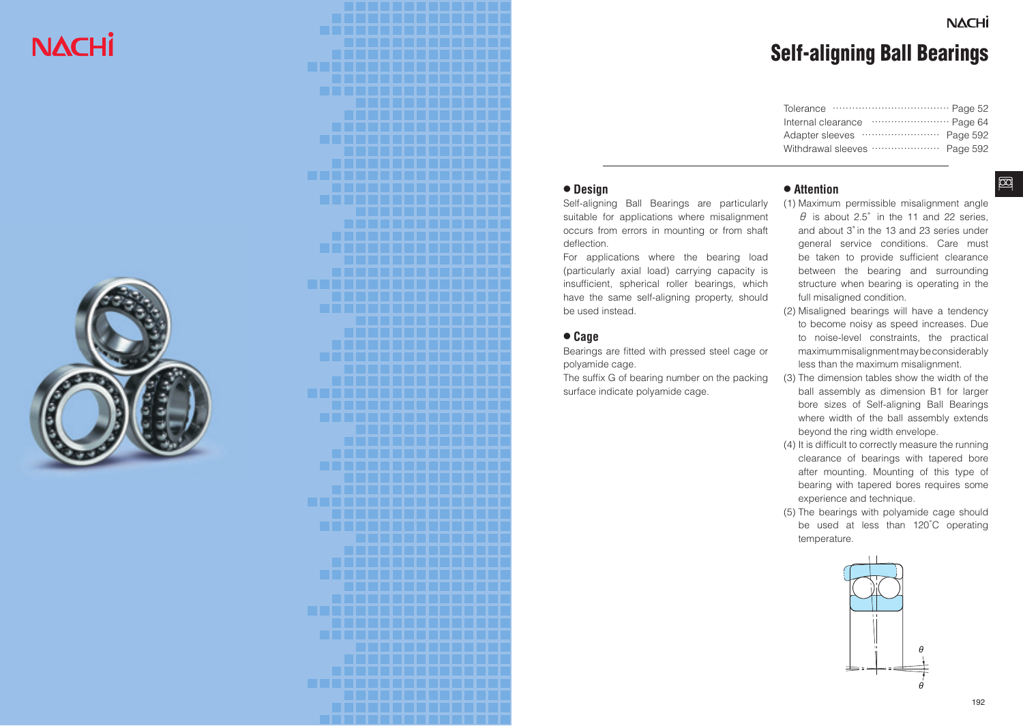# **NACHI**

# **NACHI**

 $\boxed{2}$ 

# Self-aligning Ball Bearings

| Internal clearance  Page 64  |  |
|------------------------------|--|
|                              |  |
| Withdrawal sleeves  Page 592 |  |
|                              |  |

#### **● Design**

Self-aligning Ball Bearings are particularly suitable for applications where misalignment occurs from errors in mounting or from shaft deflection.

For applications where the bearing load (particularly axial load) carrying capacity is insufficient, spherical roller bearings, which have the same self-aligning property, should be used instead.

#### **● Cage**

Bearings are fitted with pressed steel cage or polyamide cage.

The suffix G of bearing number on the packing surface indicate polyamide cage.

#### **● Attention**

- (1) Maximum permissible misalignment angle  $\theta$  is about 2.5° in the 11 and 22 series. and about 3° in the 13 and 23 series under general service conditions. Care must be taken to provide sufficient clearance between the bearing and surrounding structure when bearing is operating in the full misaligned condition.
- (2) Misaligned bearings will have a tendency to become noisy as speed increases. Due to noise-level constraints, the practical maximum misalignment may be considerably less than the maximum misalignment.
- (3) The dimension tables show the width of the ball assembly as dimension B1 for larger bore sizes of Self-aligning Ball Bearings where width of the ball assembly extends beyond the ring width envelope.
- (4) It is difficult to correctly measure the running clearance of bearings with tapered bore after mounting. Mounting of this type of bearing with tapered bores requires some experience and technique.
- (5) The bearings with polyamide cage should be used at less than 120̊C operating temperature.



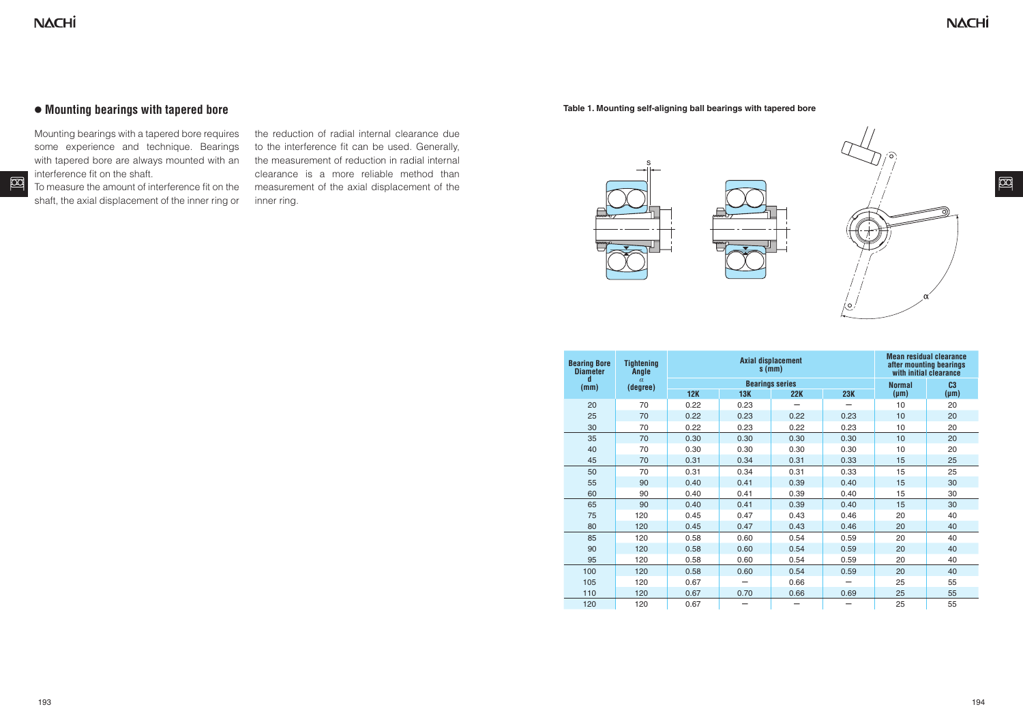$\boxtimes$ 

#### **● Mounting bearings with tapered bore**

Mounting bearings with a tapered bore requires some experience and technique. Bearings with tapered bore are always mounted with an interference fit on the shaft.

To measure the amount of interference fit on the shaft, the axial displacement of the inner ring or

the reduction of radial internal clearance due to the interference fit can be used. Generally, the measurement of reduction in radial internal clearance is a more reliable method than measurement of the axial displacement of the inner ring.

**Table 1. Mounting self-aligning ball bearings with tapered bore**



| <b>Bearing Bore</b><br><b>Diameter</b> | <b>Tightening</b><br>Angle |      | <b>Axial displacement</b><br>$s$ (mm) | <b>Mean residual clearance</b><br>after mounting bearings<br>with initial clearance |            |               |                |  |  |
|----------------------------------------|----------------------------|------|---------------------------------------|-------------------------------------------------------------------------------------|------------|---------------|----------------|--|--|
| d<br>(mm)                              | $\alpha$<br>(degree)       |      | <b>Bearings series</b>                |                                                                                     |            | <b>Normal</b> | C <sub>3</sub> |  |  |
|                                        |                            | 12K  | <b>13K</b><br>22K                     |                                                                                     | <b>23K</b> | $(\mu m)$     | $(\mu m)$      |  |  |
| 20                                     | 70                         | 0.22 | 0.23                                  |                                                                                     |            | 10            | 20             |  |  |
| 25                                     | 70                         | 0.22 | 0.23                                  | 0.22                                                                                | 0.23       | 10            | 20             |  |  |
| 30                                     | 70                         | 0.22 | 0.23                                  | 0.22                                                                                | 0.23       | 10            | 20             |  |  |
| 35                                     | 70                         | 0.30 | 0.30                                  | 0.30                                                                                | 0.30       | 10            | 20             |  |  |
| 40                                     | 70                         | 0.30 | 0.30                                  | 0.30                                                                                | 0.30       | 10            | 20<br>25       |  |  |
| 45                                     | 70                         | 0.31 | 0.34                                  | 0.31                                                                                | 0.33       | 15            |                |  |  |
| 50                                     | 70                         | 0.31 |                                       | 0.31                                                                                | 0.33       | 15            | 25             |  |  |
| 55                                     | 90                         | 0.40 | 0.41                                  | 0.39                                                                                | 0.40       | 15            | 30             |  |  |
| 60                                     | 90                         | 0.40 | 0.41                                  | 0.39                                                                                | 0.40       | 15            | 30             |  |  |
| 65                                     | 90                         | 0.40 | 0.41                                  | 0.39                                                                                | 0.40       | 15            | 30             |  |  |
| 75                                     | 120                        | 0.45 | 0.47                                  | 0.43                                                                                | 0.46       | 20            | 40             |  |  |
| 80                                     | 120                        | 0.45 | 0.47                                  | 0.43                                                                                | 0.46       | 20            | 40             |  |  |
| 85                                     | 120                        | 0.58 | 0.60                                  | 0.54                                                                                | 0.59       | 20            | 40             |  |  |
| 90                                     | 120                        | 0.58 | 0.60                                  | 0.54                                                                                | 0.59       | 20            | 40             |  |  |
| 95                                     | 120                        | 0.58 | 0.60                                  | 0.54                                                                                | 0.59       | 20            | 40             |  |  |
| 100                                    | 120                        | 0.58 | 0.60                                  | 0.54                                                                                | 0.59       | 20            | 40             |  |  |
| 105                                    | 120                        | 0.67 |                                       | 0.66                                                                                |            | 25            | 55             |  |  |
| 110                                    | 120                        | 0.67 | 0.70                                  | 0.66                                                                                | 0.69       | 25            | 55             |  |  |
| 120                                    | 120                        | 0.67 |                                       | -                                                                                   | -          | 25            | 55             |  |  |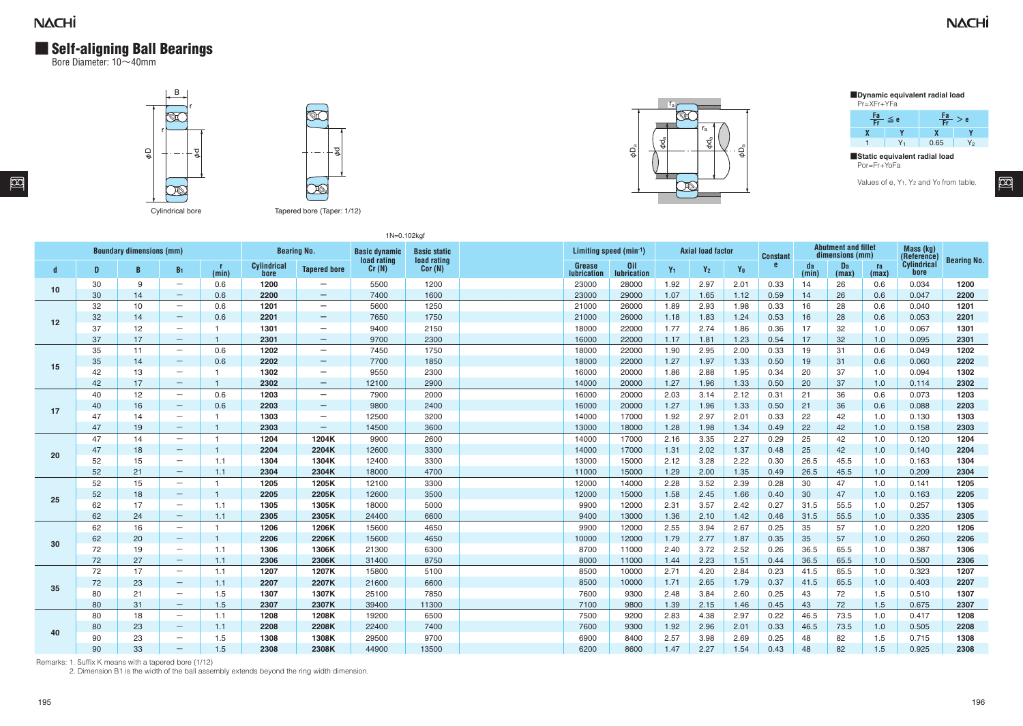### **NACHİ**

 $\boxed{2}$ 

### **■** Self-aligning Ball Bearings

Bore Diameter: 10~40mm







**■Dynamic equivalent radial load** Pr=XFr+YFa



**■Static equivalent radial load** Por=Fr+YoFa

Values of e, Y<sub>1</sub>, Y<sub>2</sub> and Y<sub>0</sub> from table.

回

| 1N=0.102kgf                     |    |    |                          |                |                     |                          |                                     |                                    |  |                        |                           |                |                          |                |                 |                                               |             |             |                          |                    |
|---------------------------------|----|----|--------------------------|----------------|---------------------|--------------------------|-------------------------------------|------------------------------------|--|------------------------|---------------------------|----------------|--------------------------|----------------|-----------------|-----------------------------------------------|-------------|-------------|--------------------------|--------------------|
| <b>Boundary dimensions (mm)</b> |    |    |                          |                |                     | <b>Bearing No.</b>       | <b>Basic dynamic</b><br>load rating | <b>Basic static</b><br>load rating |  | Limiting speed (min-1) |                           |                | <b>Axial load factor</b> |                | <b>Constant</b> | <b>Abutment and fillet</b><br>dimensions (mm) |             |             | Mass (kg)<br>(Reference) | <b>Bearing No.</b> |
| d                               | D. | B  | B <sub>1</sub>           | - r<br>(min)   | Cylindrical<br>bore | <b>Tapered bore</b>      | Cr(N)                               | Cor(N)                             |  | Grease<br>lubrication  | 0il<br><b>lubrication</b> | Y <sub>1</sub> | $Y_2$                    | Y <sub>0</sub> | e               | da<br>(min)                                   | Da<br>(max) | ra<br>(max) | Cylindrical<br>bore      |                    |
| 10                              | 30 | 9  | $\overline{\phantom{m}}$ | 0.6            | 1200                | $\qquad \qquad -$        | 5500                                | 1200                               |  | 23000                  | 28000                     | 1.92           | 2.97                     | 2.01           | 0.33            | 14                                            | 26          | 0.6         | 0.034                    | 1200               |
|                                 | 30 | 14 | $\overline{\phantom{m}}$ | 0.6            | 2200                | $\qquad \qquad -$        | 7400                                | 1600                               |  | 23000                  | 29000                     | 1.07           | 1.65                     | 1.12           | 0.59            | 14                                            | 26          | 0.6         | 0.047                    | 2200               |
|                                 | 32 | 10 | $\overline{\phantom{m}}$ | 0.6            | 1201                | $\qquad \qquad -$        | 5600                                | 1250                               |  | 21000                  | 26000                     | 1.89           | 2.93                     | 1.98           | 0.33            | 16                                            | 28          | 0.6         | 0.040                    | 1201               |
| 12                              | 32 | 14 | $\qquad \qquad -$        | 0.6            | 2201                | $\qquad \qquad -$        | 7650                                | 1750                               |  | 21000                  | 26000                     | 1.18           | 1.83                     | 1.24           | 0.53            | 16                                            | 28          | 0.6         | 0.053                    | 2201               |
|                                 | 37 | 12 | $\overline{\phantom{m}}$ | $\mathbf{1}$   | 1301                | $\overline{\phantom{m}}$ | 9400                                | 2150                               |  | 18000                  | 22000                     | 1.77           | 2.74                     | 1.86           | 0.36            | 17                                            | 32          | 1.0         | 0.067                    | 1301               |
|                                 | 37 | 17 | $\qquad \qquad -$        | $\mathbf{1}$   | 2301                | $\qquad \qquad -$        | 9700                                | 2300                               |  | 16000                  | 22000                     | 1.17           | 1.81                     | 1.23           | 0.54            | 17                                            | 32          | 1.0         | 0.095                    | 2301               |
|                                 | 35 | 11 | $\overline{\phantom{m}}$ | 0.6            | 1202                | $\overline{\phantom{m}}$ | 7450                                | 1750                               |  | 18000                  | 22000                     | 1.90           | 2.95                     | 2.00           | 0.33            | 19                                            | 31          | 0.6         | 0.049                    | 1202               |
| 15                              | 35 | 14 | $\qquad \qquad -$        | 0.6            | 2202                | $\qquad \qquad -$        | 7700                                | 1850                               |  | 18000                  | 22000                     | 1.27           | 1.97                     | 1.33           | 0.50            | 19                                            | 31          | 0.6         | 0.060                    | 2202               |
|                                 | 42 | 13 | $\overline{\phantom{m}}$ | $\mathbf{1}$   | 1302                | $\qquad \qquad -$        | 9550                                | 2300                               |  | 16000                  | 20000                     | 1.86           | 2.88                     | 1.95           | 0.34            | 20                                            | 37          | 1.0         | 0.094                    | 1302               |
|                                 | 42 | 17 | $-$                      | $\mathbf{1}$   | 2302                | $\overline{\phantom{0}}$ | 12100                               | 2900                               |  | 14000                  | 20000                     | 1.27           | 1.96                     | 1.33           | 0.50            | 20                                            | 37          | 1.0         | 0.114                    | 2302               |
|                                 | 40 | 12 | $\overline{\phantom{m}}$ | 0.6            | 1203                | $\qquad \qquad -$        | 7900                                | 2000                               |  | 16000                  | 20000                     | 2.03           | 3.14                     | 2.12           | 0.31            | 21                                            | 36          | 0.6         | 0.073                    | 1203               |
| 17                              | 40 | 16 | $\qquad \qquad -$        | 0.6            | 2203                | $\overline{\phantom{0}}$ | 9800                                | 2400                               |  | 16000                  | 20000                     | 1.27           | 1.96                     | 1.33           | 0.50            | 21                                            | 36          | 0.6         | 0.088                    | 2203               |
|                                 | 47 | 14 | $\overline{\phantom{m}}$ | $\overline{1}$ | 1303                | $\overline{\phantom{m}}$ | 12500                               | 3200                               |  | 14000                  | 17000                     | 1.92           | 2.97                     | 2.01           | 0.33            | 22                                            | 42          | 1.0         | 0.130                    | 1303               |
|                                 | 47 | 19 | $-$                      | $\mathbf{1}$   | 2303                | $\qquad \qquad -$        | 14500                               | 3600                               |  | 13000                  | 18000                     | 1.28           | 1.98                     | 1.34           | 0.49            | 22                                            | 42          | 1.0         | 0.158                    | 2303               |
|                                 | 47 | 14 | $\overline{\phantom{m}}$ | $\mathbf{1}$   | 1204                | 1204K                    | 9900                                | 2600                               |  | 14000                  | 17000                     | 2.16           | 3.35                     | 2.27           | 0.29            | 25                                            | 42          | 1.0         | 0.120                    | 1204               |
| 20                              | 47 | 18 | $\qquad \qquad -$        | $\mathbf{1}$   | 2204                | 2204K                    | 12600                               | 3300                               |  | 14000                  | 17000                     | 1.31           | 2.02                     | 1.37           | 0.48            | 25                                            | 42          | 1.0         | 0.140                    | 2204               |
|                                 | 52 | 15 | $\overline{\phantom{m}}$ | 1.1            | 1304                | 1304K                    | 12400                               | 3300                               |  | 13000                  | 15000                     | 2.12           | 3.28                     | 2.22           | 0.30            | 26.5                                          | 45.5        | 1.0         | 0.163                    | 1304               |
|                                 | 52 | 21 | $\qquad \qquad -$        | 1.1            | 2304                | 2304K                    | 18000                               | 4700                               |  | 11000                  | 15000                     | 1.29           | 2.00                     | 1.35           | 0.49            | 26.5                                          | 45.5        | 1.0         | 0.209                    | 2304               |
|                                 | 52 | 15 | $\overline{\phantom{m}}$ | $\mathbf{1}$   | 1205                | 1205K                    | 12100                               | 3300                               |  | 12000                  | 14000                     | 2.28           | 3.52                     | 2.39           | 0.28            | 30                                            | 47          | 1.0         | 0.141                    | 1205               |
| 25                              | 52 | 18 | $\qquad \qquad -$        | $\mathbf{1}$   | 2205                | 2205K                    | 12600                               | 3500                               |  | 12000                  | 15000                     | 1.58           | 2.45                     | 1.66           | 0.40            | 30 <sup>°</sup>                               | 47          | 1.0         | 0.163                    | 2205               |
|                                 | 62 | 17 | $\overline{\phantom{m}}$ | 1.1            | 1305                | 1305K                    | 18000                               | 5000                               |  | 9900                   | 12000                     | 2.31           | 3.57                     | 2.42           | 0.27            | 31.5                                          | 55.5        | 1.0         | 0.257                    | 1305               |
|                                 | 62 | 24 | $\qquad \qquad -$        | 1.1            | 2305                | 2305K                    | 24400                               | 6600                               |  | 9400                   | 13000                     | 1.36           | 2.10                     | 1.42           | 0.46            | 31.5                                          | 55.5        | 1.0         | 0.335                    | 2305               |
|                                 | 62 | 16 | $\overline{\phantom{m}}$ | $\mathbf{1}$   | 1206                | 1206K                    | 15600                               | 4650                               |  | 9900                   | 12000                     | 2.55           | 3.94                     | 2.67           | 0.25            | 35                                            | 57          | 1.0         | 0.220                    | 1206               |
| 30                              | 62 | 20 | $\qquad \qquad -$        | $\mathbf{1}$   | 2206                | 2206K                    | 15600                               | 4650                               |  | 10000                  | 12000                     | 1.79           | 2.77                     | 1.87           | 0.35            | 35                                            | 57          | 1.0         | 0.260                    | 2206               |
|                                 | 72 | 19 | $\overline{\phantom{m}}$ | 1.1            | 1306                | 1306K                    | 21300                               | 6300                               |  | 8700                   | 11000                     | 2.40           | 3.72                     | 2.52           | 0.26            | 36.5                                          | 65.5        | 1.0         | 0.387                    | 1306               |
|                                 | 72 | 27 | $\overline{\phantom{m}}$ | 1.1            | 2306                | 2306K                    | 31400                               | 8750                               |  | 8000                   | 11000                     | 1.44           | 2.23                     | 1.51           | 0.44            | 36.5                                          | 65.5        | 1.0         | 0.500                    | 2306               |
|                                 | 72 | 17 | $\overline{\phantom{m}}$ | 1.1            | 1207                | 1207K                    | 15800                               | 5100                               |  | 8500                   | 10000                     | 2.71           | 4.20                     | 2.84           | 0.23            | 41.5                                          | 65.5        | 1.0         | 0.323                    | 1207               |
| 35                              | 72 | 23 | $-$                      | 1.1            | 2207                | 2207K                    | 21600                               | 6600                               |  | 8500                   | 10000                     | 1.71           | 2.65                     | 1.79           | 0.37            | 41.5                                          | 65.5        | 1.0         | 0.403                    | 2207               |
|                                 | 80 | 21 | $\overline{\phantom{m}}$ | 1.5            | 1307                | 1307K                    | 25100                               | 7850                               |  | 7600                   | 9300                      | 2.48           | 3.84                     | 2.60           | 0.25            | 43                                            | 72          | 1.5         | 0.510                    | 1307               |
|                                 | 80 | 31 | $-$                      | 1.5            | 2307                | 2307K                    | 39400                               | 11300                              |  | 7100                   | 9800                      | 1.39           | 2.15                     | 1.46           | 0.45            | 43                                            | 72          | 1.5         | 0.675                    | 2307               |
|                                 | 80 | 18 | $\overline{\phantom{m}}$ | 1.1            | 1208                | 1208K                    | 19200                               | 6500                               |  | 7500                   | 9200                      | 2.83           | 4.38                     | 2.97           | 0.22            | 46.5                                          | 73.5        | 1.0         | 0.417                    | 1208               |
| 40                              | 80 | 23 | $-$                      | 1.1            | 2208                | 2208K                    | 22400                               | 7400                               |  | 7600                   | 9300                      | 1.92           | 2.96                     | 2.01           | 0.33            | 46.5                                          | 73.5        | 1.0         | 0.505                    | 2208               |
|                                 | 90 | 23 | $\overline{\phantom{m}}$ | 1.5            | 1308                | 1308K                    | 29500                               | 9700                               |  | 6900                   | 8400                      | 2.57           | 3.98                     | 2.69           | 0.25            | 48                                            | 82          | 1.5         | 0.715                    | 1308               |
|                                 | 90 | 33 | $\qquad \qquad -$        | 1.5            | 2308                | 2308K                    | 44900                               | 13500                              |  | 6200                   | 8600                      | 1.47           | 2.27                     | 1.54           | 0.43            | 48                                            | 82          | 1.5         | 0.925                    | 2308               |

Remarks: 1. Suffix K means with a tapered bore (1/12)<br>2. Dimension B1 is the width of the ball assembly extends beyond the ring width dimension.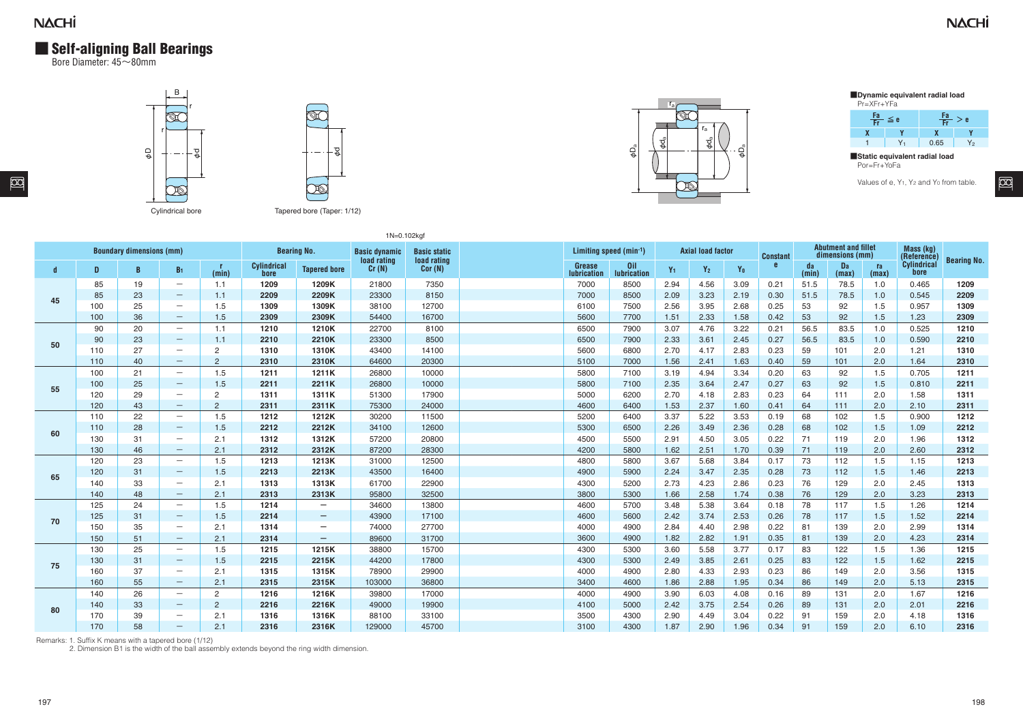#### **NACHI**

図

# **■** Self-aligning Ball Bearings

Bore Diameter: 45~80mm





1N=0.102kgf



3600 4900 1.82 2.82 1.91 0.35 81 139 2.0 4.23 **2314** 4300 5300 3.60 5.58 3.77 0.17 83 122 1.5 1.36 **1215** 4300 5300 2.49 3.85 2.61 0.25 83 122 1.5 1.62 **2215** 4000 4900 2.80 4.33 2.93 0.23 86 149 2.0 3.56 **1315** 3400 4600 1.86 2.88 1.95 0.34 86 149 2.0 5.13 **2315** 4000 4900 3.90 6.03 4.08 0.16 89 131 2.0 1.67 **1216** 4100 5000 2.42 3.75 2.54 0.26 89 131 2.0 2.01 **2216** 3500 4300 2.90 4.49 3.04 0.22 91 159 2.0 4.18 **1316** 3100 4300 1.87 2.90 1.96 0.34 91 159 2.0 6.10 **2316**

**■Dynamic equivalent radial load** Pr=XFr+YFa



**■Static equivalent radial load** Por=Fr+YoFa

Values of e, Y<sub>1</sub>, Y<sub>2</sub> and Y<sub>0</sub> from table.

 $\overline{\infty}$ 

|    |     | <b>Boundary dimensions (mm)</b> |                          |                | <b>Bearing No.</b>  |                          | <b>Basic dynamic</b><br><b>Basic static</b><br>load rating |        | Limiting speed $(min^{-1})$ |                           | <b>Axial load factor</b> |       |                | <b>Constant</b> |             | <b>Abutment and fillet</b><br>dimensions (mm) | Mass (kg)<br>(Reference<br>Cylindrical |       |                    |
|----|-----|---------------------------------|--------------------------|----------------|---------------------|--------------------------|------------------------------------------------------------|--------|-----------------------------|---------------------------|--------------------------|-------|----------------|-----------------|-------------|-----------------------------------------------|----------------------------------------|-------|--------------------|
| d  | D   | B                               | B <sub>1</sub>           | (min)          | Cylindrical<br>bore | <b>Tapered bore</b>      | load rating<br>Cr(N)                                       | Cor(N) | Grease<br>lubrication       | 0il<br><b>lubrication</b> | $Y_1$                    | $Y_2$ | Y <sub>0</sub> |                 | da<br>(min) | Da<br>(max)                                   | <b>ra</b><br>(max)                     | bore  | <b>Bearing No.</b> |
|    | 85  | 19                              | $\overline{\phantom{m}}$ | 1.1            | 1209                | 1209K                    | 21800                                                      | 7350   | 7000                        | 8500                      | 2.94                     | 4.56  | 3.09           | 0.21            | 51.5        | 78.5                                          | 1.0                                    | 0.465 | 1209               |
| 45 | 85  | 23                              | $\qquad \qquad -$        | 1.1            | 2209                | 2209K                    | 23300                                                      | 8150   | 7000                        | 8500                      | 2.09                     | 3.23  | 2.19           | 0.30            | 51.5        | 78.5                                          | 1.0                                    | 0.545 | 2209               |
|    | 100 | 25                              | $\overline{\phantom{m}}$ | 1.5            | 1309                | 1309K                    | 38100                                                      | 12700  | 6100                        | 7500                      | 2.56                     | 3.95  | 2.68           | 0.25            | 53          | 92                                            | 1.5                                    | 0.957 | 1309               |
|    | 100 | 36                              | $\qquad \qquad -$        | 1.5            | 2309                | 2309K                    | 54400                                                      | 16700  | 5600                        | 7700                      | 1.51                     | 2.33  | 1.58           | 0.42            | 53          | 92                                            | 1.5                                    | 1.23  | 2309               |
|    | 90  | 20                              | $\overline{\phantom{m}}$ | 1.1            | 1210                | 1210K                    | 22700                                                      | 8100   | 6500                        | 7900                      | 3.07                     | 4.76  | 3.22           | 0.21            | 56.5        | 83.5                                          | 1.0                                    | 0.525 | 1210               |
| 50 | 90  | 23                              | $\qquad \qquad -$        | 1.1            | 2210                | 2210K                    | 23300                                                      | 8500   | 6500                        | 7900                      | 2.33                     | 3.61  | 2.45           | 0.27            | 56.5        | 83.5                                          | 1.0                                    | 0.590 | 2210               |
|    | 110 | 27                              | $\overline{\phantom{m}}$ | $\overline{2}$ | 1310                | 1310K                    | 43400                                                      | 14100  | 5600                        | 6800                      | 2.70                     | 4.17  | 2.83           | 0.23            | 59          | 101                                           | 2.0                                    | 1.21  | 1310               |
|    | 110 | 40                              | $\qquad \qquad -$        | $\overline{2}$ | 2310                | 2310K                    | 64600                                                      | 20300  | 5100                        | 7000                      | 1.56                     | 2.41  | 1.63           | 0.40            | 59          | 101                                           | 2.0                                    | 1.64  | 2310               |
|    | 100 | 21                              | $\overline{\phantom{m}}$ | 1.5            | 1211                | 1211K                    | 26800                                                      | 10000  | 5800                        | 7100                      | 3.19                     | 4.94  | 3.34           | 0.20            | 63          | 92                                            | 1.5                                    | 0.705 | 1211               |
| 55 | 100 | 25                              | $\qquad \qquad -$        | 1.5            | 2211                | 2211K                    | 26800                                                      | 10000  | 5800                        | 7100                      | 2.35                     | 3.64  | 2.47           | 0.27            | 63          | 92                                            | 1.5                                    | 0.810 | 2211               |
|    | 120 | 29                              | $\overline{\phantom{m}}$ | $\overline{2}$ | 1311                | 1311K                    | 51300                                                      | 17900  | 5000                        | 6200                      | 2.70                     | 4.18  | 2.83           | 0.23            | 64          | 111                                           | 2.0                                    | 1.58  | 1311               |
|    | 120 | 43                              | $\overline{\phantom{m}}$ | $\overline{2}$ | 2311                | 2311K                    | 75300                                                      | 24000  | 4600                        | 6400                      | 1.53                     | 2.37  | 1.60           | 0.41            | 64          | 111                                           | 2.0                                    | 2.10  | 2311               |
|    | 110 | 22                              | $\overline{\phantom{m}}$ | 1.5            | 1212                | 1212K                    | 30200                                                      | 11500  | 5200                        | 6400                      | 3.37                     | 5.22  | 3.53           | 0.19            | 68          | 102                                           | 1.5                                    | 0.900 | 1212               |
| 60 | 110 | 28                              | $\qquad \qquad -$        | 1.5            | 2212                | 2212K                    | 34100                                                      | 12600  | 5300                        | 6500                      | 2.26                     | 3.49  | 2.36           | 0.28            | 68          | 102                                           | 1.5                                    | 1.09  | 2212               |
|    | 130 | 31                              | $\overline{\phantom{m}}$ | 2.1            | 1312                | 1312K                    | 57200                                                      | 20800  | 4500                        | 5500                      | 2.91                     | 4.50  | 3.05           | 0.22            | 71          | 119                                           | 2.0                                    | 1.96  | 1312               |
|    | 130 | 46                              | $\qquad \qquad -$        | 2.1            | 2312                | 2312K                    | 87200                                                      | 28300  | 4200                        | 5800                      | 1.62                     | 2.51  | 1.70           | 0.39            | 71          | 119                                           | 2.0                                    | 2.60  | 2312               |
|    | 120 | 23                              | $\overline{\phantom{m}}$ | 1.5            | 1213                | 1213K                    | 31000                                                      | 12500  | 4800                        | 5800                      | 3.67                     | 5.68  | 3.84           | 0.17            | 73          | 112                                           | 1.5                                    | 1.15  | 1213               |
| 65 | 120 | 31                              | $\qquad \qquad -$        | 1.5            | 2213                | 2213K                    | 43500                                                      | 16400  | 4900                        | 5900                      | 2.24                     | 3.47  | 2.35           | 0.28            | 73          | 112                                           | 1.5                                    | 1.46  | 2213               |
|    | 140 | 33                              | $\overline{\phantom{m}}$ | 2.1            | 1313                | 1313K                    | 61700                                                      | 22900  | 4300                        | 5200                      | 2.73                     | 4.23  | 2.86           | 0.23            | 76          | 129                                           | 2.0                                    | 2.45  | 1313               |
|    | 140 | 48                              | $\qquad \qquad -$        | 2.1            | 2313                | 2313K                    | 95800                                                      | 32500  | 3800                        | 5300                      | 1.66                     | 2.58  | 1.74           | 0.38            | 76          | 129                                           | 2.0                                    | 3.23  | 2313               |
|    | 125 | 24                              | $\overline{\phantom{m}}$ | 1.5            | 1214                | $\overline{\phantom{0}}$ | 34600                                                      | 13800  | 4600                        | 5700                      | 3.48                     | 5.38  | 3.64           | 0.18            | 78          | 117                                           | 1.5                                    | 1.26  | 1214               |
|    | 125 | 31                              | $\qquad \qquad -$        | 1.5            | 2214                | $\qquad \qquad -$        | 43900                                                      | 17100  | 4600                        | 5600                      | 2.42                     | 3.74  | 2.53           | 0.26            | 78          | 117                                           | 1.5                                    | 1.52  | 2214               |
| 70 | 150 | 35                              | $\overline{\phantom{m}}$ | 2.1            | 1314                | —                        | 74000                                                      | 27700  | 4000                        | 4900                      | 2.84                     | 4.40  | 2.98           | 0.22            | 81          | 139                                           | 2.0                                    | 2.99  | 1314               |

Remarks: 1. Suffix K means with a tapered bore (1/12)

2. Dimension B1 is the width of the ball assembly extends beyond the ring width dimension.

150 51 - 2.1 **2314 -** 89600 31700

130 25 - 1.5 **1215 1215K** 38800 15700 130 31 - 1.5 **2215 2215K** 44200 17800 160 37 - 2.1 **1315 1315K** 78900 29900 160 55 - 2.1 **2315 2315K** 103000 36800

140 26 - 2 **1216 1216K** 39800 17000 140 33 - 221**6 2216K** 49000 19900 170 39 - 2.1 **1316 1316K** 88100 33100 170 58 - 2.1 **2316 2316K** 129000 45700

**75**

**80**